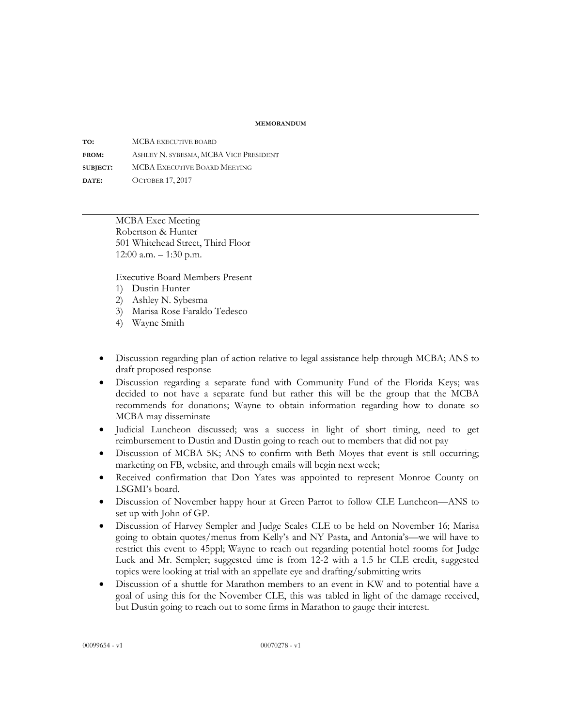## **MEMORANDUM**

**TO:** MCBA EXECUTIVE BOARD **FROM:** ASHLEY N. SYBESMA, MCBA VICE PRESIDENT **SUBJECT:** MCBA EXECUTIVE BOARD MEETING **DATE:** OCTOBER 17, 2017

> MCBA Exec Meeting Robertson & Hunter 501 Whitehead Street, Third Floor 12:00 a.m. – 1:30 p.m.

Executive Board Members Present

- 1) Dustin Hunter
- 2) Ashley N. Sybesma
- 3) Marisa Rose Faraldo Tedesco
- 4) Wayne Smith
- Discussion regarding plan of action relative to legal assistance help through MCBA; ANS to draft proposed response
- Discussion regarding a separate fund with Community Fund of the Florida Keys; was decided to not have a separate fund but rather this will be the group that the MCBA recommends for donations; Wayne to obtain information regarding how to donate so MCBA may disseminate
- Judicial Luncheon discussed; was a success in light of short timing, need to get reimbursement to Dustin and Dustin going to reach out to members that did not pay
- Discussion of MCBA 5K; ANS to confirm with Beth Moyes that event is still occurring; marketing on FB, website, and through emails will begin next week;
- Received confirmation that Don Yates was appointed to represent Monroe County on LSGMI's board.
- Discussion of November happy hour at Green Parrot to follow CLE Luncheon—ANS to set up with John of GP.
- Discussion of Harvey Sempler and Judge Scales CLE to be held on November 16; Marisa going to obtain quotes/menus from Kelly's and NY Pasta, and Antonia's—we will have to restrict this event to 45ppl; Wayne to reach out regarding potential hotel rooms for Judge Luck and Mr. Sempler; suggested time is from 12-2 with a 1.5 hr CLE credit, suggested topics were looking at trial with an appellate eye and drafting/submitting writs
- Discussion of a shuttle for Marathon members to an event in KW and to potential have a goal of using this for the November CLE, this was tabled in light of the damage received, but Dustin going to reach out to some firms in Marathon to gauge their interest.